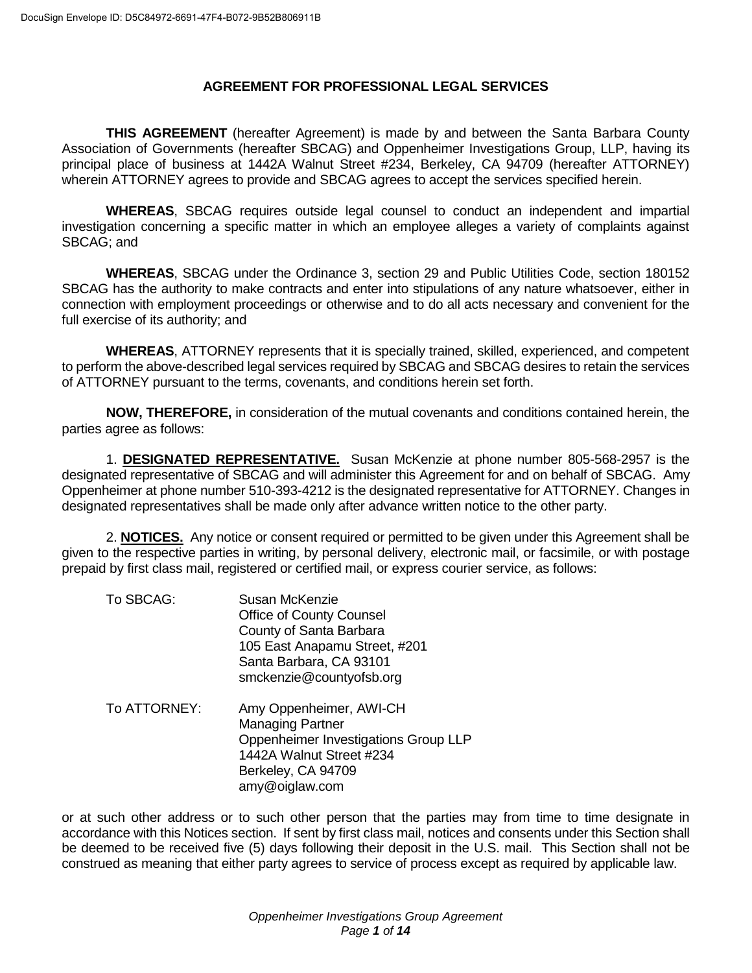# **AGREEMENT FOR PROFESSIONAL LEGAL SERVICES**

**THIS AGREEMENT** (hereafter Agreement) is made by and between the Santa Barbara County Association of Governments (hereafter SBCAG) and Oppenheimer Investigations Group, LLP, having its principal place of business at 1442A Walnut Street #234, Berkeley, CA 94709 (hereafter ATTORNEY) wherein ATTORNEY agrees to provide and SBCAG agrees to accept the services specified herein.

**WHEREAS**, SBCAG requires outside legal counsel to conduct an independent and impartial investigation concerning a specific matter in which an employee alleges a variety of complaints against SBCAG; and

**WHEREAS**, SBCAG under the Ordinance 3, section 29 and Public Utilities Code, section 180152 SBCAG has the authority to make contracts and enter into stipulations of any nature whatsoever, either in connection with employment proceedings or otherwise and to do all acts necessary and convenient for the full exercise of its authority; and

**WHEREAS**, ATTORNEY represents that it is specially trained, skilled, experienced, and competent to perform the above-described legal services required by SBCAG and SBCAG desires to retain the services of ATTORNEY pursuant to the terms, covenants, and conditions herein set forth.

**NOW, THEREFORE,** in consideration of the mutual covenants and conditions contained herein, the parties agree as follows:

1. **DESIGNATED REPRESENTATIVE.** Susan McKenzie at phone number 805-568-2957 is the designated representative of SBCAG and will administer this Agreement for and on behalf of SBCAG. Amy Oppenheimer at phone number 510-393-4212 is the designated representative for ATTORNEY. Changes in designated representatives shall be made only after advance written notice to the other party.

2. **NOTICES.** Any notice or consent required or permitted to be given under this Agreement shall be given to the respective parties in writing, by personal delivery, electronic mail, or facsimile, or with postage prepaid by first class mail, registered or certified mail, or express courier service, as follows:

To SBCAG: Susan McKenzie Office of County Counsel County of Santa Barbara 105 East Anapamu Street, #201 Santa Barbara, CA 93101 smckenzie@countyofsb.org To ATTORNEY: Amy Oppenheimer, AWI-CH Managing Partner Oppenheimer Investigations Group LLP 1442A Walnut Street #234 Berkeley, CA 94709 amy@oiglaw.com

or at such other address or to such other person that the parties may from time to time designate in accordance with this Notices section. If sent by first class mail, notices and consents under this Section shall be deemed to be received five (5) days following their deposit in the U.S. mail. This Section shall not be construed as meaning that either party agrees to service of process except as required by applicable law.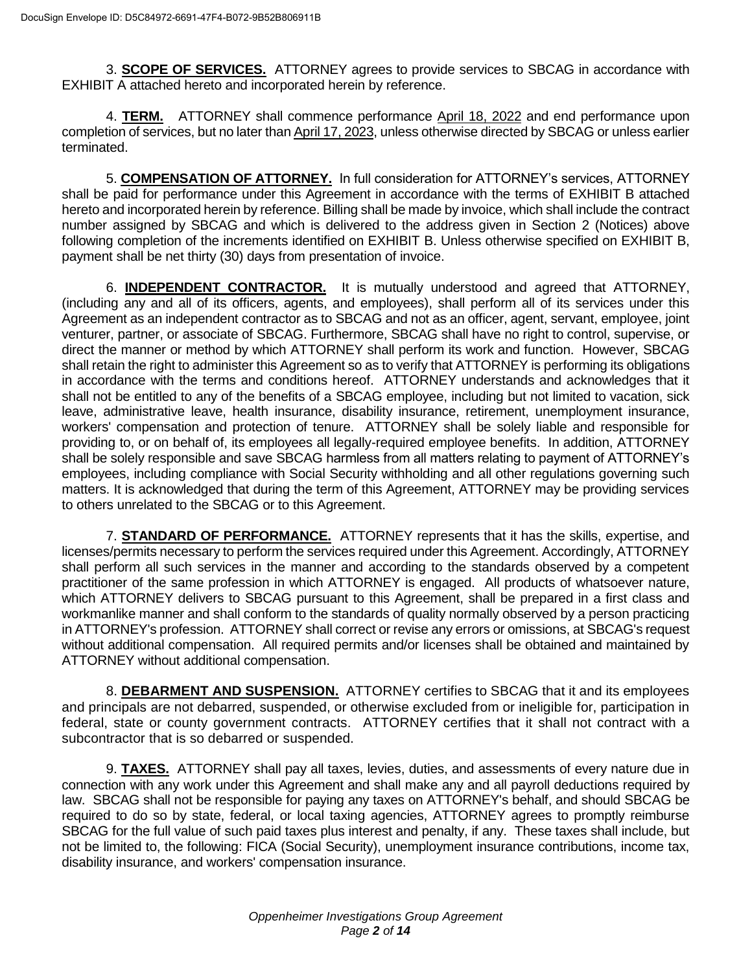3. **SCOPE OF SERVICES.** ATTORNEY agrees to provide services to SBCAG in accordance with EXHIBIT A attached hereto and incorporated herein by reference.

4. **TERM.** ATTORNEY shall commence performance April 18, 2022 and end performance upon completion of services, but no later than April 17, 2023, unless otherwise directed by SBCAG or unless earlier terminated.

5. **COMPENSATION OF ATTORNEY.** In full consideration for ATTORNEY's services, ATTORNEY shall be paid for performance under this Agreement in accordance with the terms of EXHIBIT B attached hereto and incorporated herein by reference. Billing shall be made by invoice, which shall include the contract number assigned by SBCAG and which is delivered to the address given in Section 2 (Notices) above following completion of the increments identified on EXHIBIT B. Unless otherwise specified on EXHIBIT B, payment shall be net thirty (30) days from presentation of invoice.

6. **INDEPENDENT CONTRACTOR.** It is mutually understood and agreed that ATTORNEY, (including any and all of its officers, agents, and employees), shall perform all of its services under this Agreement as an independent contractor as to SBCAG and not as an officer, agent, servant, employee, joint venturer, partner, or associate of SBCAG. Furthermore, SBCAG shall have no right to control, supervise, or direct the manner or method by which ATTORNEY shall perform its work and function. However, SBCAG shall retain the right to administer this Agreement so as to verify that ATTORNEY is performing its obligations in accordance with the terms and conditions hereof. ATTORNEY understands and acknowledges that it shall not be entitled to any of the benefits of a SBCAG employee, including but not limited to vacation, sick leave, administrative leave, health insurance, disability insurance, retirement, unemployment insurance, workers' compensation and protection of tenure. ATTORNEY shall be solely liable and responsible for providing to, or on behalf of, its employees all legally-required employee benefits. In addition, ATTORNEY shall be solely responsible and save SBCAG harmless from all matters relating to payment of ATTORNEY's employees, including compliance with Social Security withholding and all other regulations governing such matters. It is acknowledged that during the term of this Agreement, ATTORNEY may be providing services to others unrelated to the SBCAG or to this Agreement.

7. **STANDARD OF PERFORMANCE.** ATTORNEY represents that it has the skills, expertise, and licenses/permits necessary to perform the services required under this Agreement. Accordingly, ATTORNEY shall perform all such services in the manner and according to the standards observed by a competent practitioner of the same profession in which ATTORNEY is engaged. All products of whatsoever nature, which ATTORNEY delivers to SBCAG pursuant to this Agreement, shall be prepared in a first class and workmanlike manner and shall conform to the standards of quality normally observed by a person practicing in ATTORNEY's profession. ATTORNEY shall correct or revise any errors or omissions, at SBCAG's request without additional compensation. All required permits and/or licenses shall be obtained and maintained by ATTORNEY without additional compensation.

8. **DEBARMENT AND SUSPENSION.** ATTORNEY certifies to SBCAG that it and its employees and principals are not debarred, suspended, or otherwise excluded from or ineligible for, participation in federal, state or county government contracts. ATTORNEY certifies that it shall not contract with a subcontractor that is so debarred or suspended.

9. **TAXES.** ATTORNEY shall pay all taxes, levies, duties, and assessments of every nature due in connection with any work under this Agreement and shall make any and all payroll deductions required by law. SBCAG shall not be responsible for paying any taxes on ATTORNEY's behalf, and should SBCAG be required to do so by state, federal, or local taxing agencies, ATTORNEY agrees to promptly reimburse SBCAG for the full value of such paid taxes plus interest and penalty, if any. These taxes shall include, but not be limited to, the following: FICA (Social Security), unemployment insurance contributions, income tax, disability insurance, and workers' compensation insurance.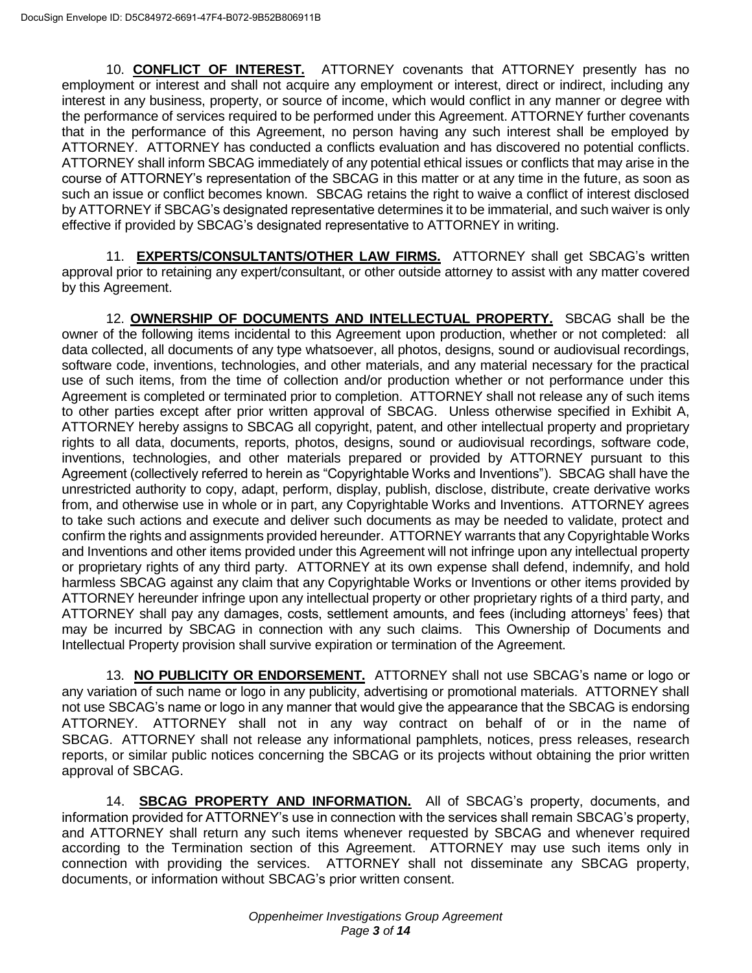10. **CONFLICT OF INTEREST.** ATTORNEY covenants that ATTORNEY presently has no employment or interest and shall not acquire any employment or interest, direct or indirect, including any interest in any business, property, or source of income, which would conflict in any manner or degree with the performance of services required to be performed under this Agreement. ATTORNEY further covenants that in the performance of this Agreement, no person having any such interest shall be employed by ATTORNEY. ATTORNEY has conducted a conflicts evaluation and has discovered no potential conflicts. ATTORNEY shall inform SBCAG immediately of any potential ethical issues or conflicts that may arise in the course of ATTORNEY's representation of the SBCAG in this matter or at any time in the future, as soon as such an issue or conflict becomes known. SBCAG retains the right to waive a conflict of interest disclosed by ATTORNEY if SBCAG's designated representative determines it to be immaterial, and such waiver is only effective if provided by SBCAG's designated representative to ATTORNEY in writing.

11. **EXPERTS/CONSULTANTS/OTHER LAW FIRMS.** ATTORNEY shall get SBCAG's written approval prior to retaining any expert/consultant, or other outside attorney to assist with any matter covered by this Agreement.

12. **OWNERSHIP OF DOCUMENTS AND INTELLECTUAL PROPERTY.** SBCAG shall be the owner of the following items incidental to this Agreement upon production, whether or not completed: all data collected, all documents of any type whatsoever, all photos, designs, sound or audiovisual recordings, software code, inventions, technologies, and other materials, and any material necessary for the practical use of such items, from the time of collection and/or production whether or not performance under this Agreement is completed or terminated prior to completion. ATTORNEY shall not release any of such items to other parties except after prior written approval of SBCAG. Unless otherwise specified in Exhibit A, ATTORNEY hereby assigns to SBCAG all copyright, patent, and other intellectual property and proprietary rights to all data, documents, reports, photos, designs, sound or audiovisual recordings, software code, inventions, technologies, and other materials prepared or provided by ATTORNEY pursuant to this Agreement (collectively referred to herein as "Copyrightable Works and Inventions"). SBCAG shall have the unrestricted authority to copy, adapt, perform, display, publish, disclose, distribute, create derivative works from, and otherwise use in whole or in part, any Copyrightable Works and Inventions. ATTORNEY agrees to take such actions and execute and deliver such documents as may be needed to validate, protect and confirm the rights and assignments provided hereunder. ATTORNEY warrants that any Copyrightable Works and Inventions and other items provided under this Agreement will not infringe upon any intellectual property or proprietary rights of any third party. ATTORNEY at its own expense shall defend, indemnify, and hold harmless SBCAG against any claim that any Copyrightable Works or Inventions or other items provided by ATTORNEY hereunder infringe upon any intellectual property or other proprietary rights of a third party, and ATTORNEY shall pay any damages, costs, settlement amounts, and fees (including attorneys' fees) that may be incurred by SBCAG in connection with any such claims. This Ownership of Documents and Intellectual Property provision shall survive expiration or termination of the Agreement.

13. **NO PUBLICITY OR ENDORSEMENT.** ATTORNEY shall not use SBCAG's name or logo or any variation of such name or logo in any publicity, advertising or promotional materials. ATTORNEY shall not use SBCAG's name or logo in any manner that would give the appearance that the SBCAG is endorsing ATTORNEY. ATTORNEY shall not in any way contract on behalf of or in the name of SBCAG. ATTORNEY shall not release any informational pamphlets, notices, press releases, research reports, or similar public notices concerning the SBCAG or its projects without obtaining the prior written approval of SBCAG.

14. **SBCAG PROPERTY AND INFORMATION.** All of SBCAG's property, documents, and information provided for ATTORNEY's use in connection with the services shall remain SBCAG's property, and ATTORNEY shall return any such items whenever requested by SBCAG and whenever required according to the Termination section of this Agreement. ATTORNEY may use such items only in connection with providing the services. ATTORNEY shall not disseminate any SBCAG property, documents, or information without SBCAG's prior written consent.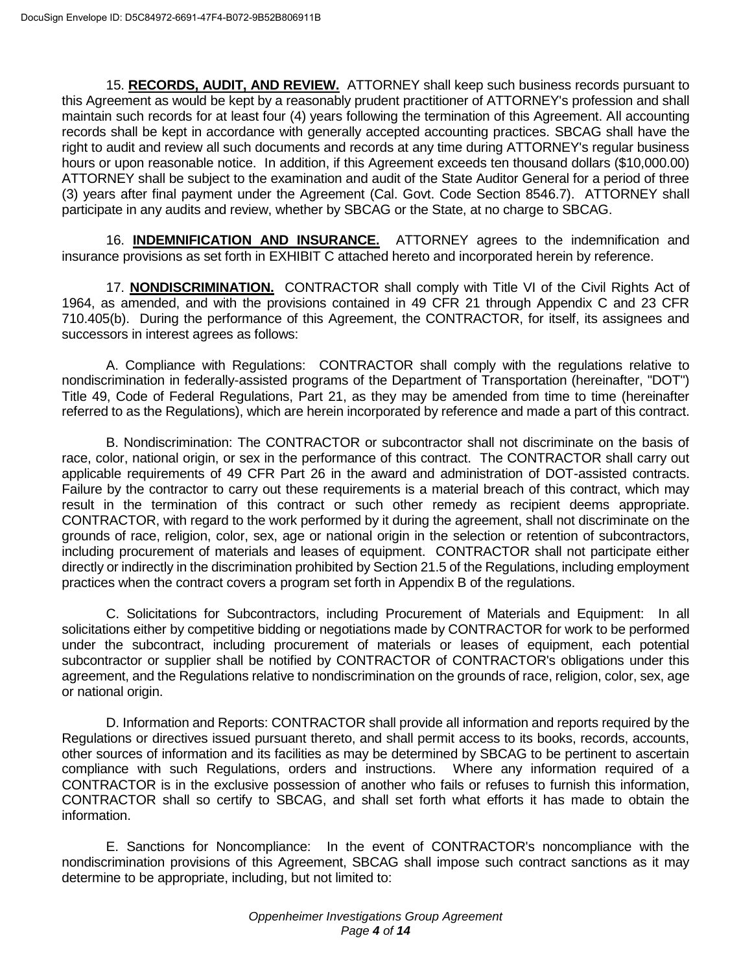15. **RECORDS, AUDIT, AND REVIEW.** ATTORNEY shall keep such business records pursuant to this Agreement as would be kept by a reasonably prudent practitioner of ATTORNEY's profession and shall maintain such records for at least four (4) years following the termination of this Agreement. All accounting records shall be kept in accordance with generally accepted accounting practices. SBCAG shall have the right to audit and review all such documents and records at any time during ATTORNEY's regular business hours or upon reasonable notice. In addition, if this Agreement exceeds ten thousand dollars (\$10,000.00) ATTORNEY shall be subject to the examination and audit of the State Auditor General for a period of three (3) years after final payment under the Agreement (Cal. Govt. Code Section 8546.7). ATTORNEY shall participate in any audits and review, whether by SBCAG or the State, at no charge to SBCAG.

16. **INDEMNIFICATION AND INSURANCE.** ATTORNEY agrees to the indemnification and insurance provisions as set forth in EXHIBIT C attached hereto and incorporated herein by reference.

17. **NONDISCRIMINATION.** CONTRACTOR shall comply with Title VI of the Civil Rights Act of 1964, as amended, and with the provisions contained in 49 CFR 21 through Appendix C and 23 CFR 710.405(b). During the performance of this Agreement, the CONTRACTOR, for itself, its assignees and successors in interest agrees as follows:

A. Compliance with Regulations: CONTRACTOR shall comply with the regulations relative to nondiscrimination in federally-assisted programs of the Department of Transportation (hereinafter, "DOT") Title 49, Code of Federal Regulations, Part 21, as they may be amended from time to time (hereinafter referred to as the Regulations), which are herein incorporated by reference and made a part of this contract.

B. Nondiscrimination: The CONTRACTOR or subcontractor shall not discriminate on the basis of race, color, national origin, or sex in the performance of this contract. The CONTRACTOR shall carry out applicable requirements of 49 CFR Part 26 in the award and administration of DOT-assisted contracts. Failure by the contractor to carry out these requirements is a material breach of this contract, which may result in the termination of this contract or such other remedy as recipient deems appropriate. CONTRACTOR, with regard to the work performed by it during the agreement, shall not discriminate on the grounds of race, religion, color, sex, age or national origin in the selection or retention of subcontractors, including procurement of materials and leases of equipment. CONTRACTOR shall not participate either directly or indirectly in the discrimination prohibited by Section 21.5 of the Regulations, including employment practices when the contract covers a program set forth in Appendix B of the regulations.

C. Solicitations for Subcontractors, including Procurement of Materials and Equipment: In all solicitations either by competitive bidding or negotiations made by CONTRACTOR for work to be performed under the subcontract, including procurement of materials or leases of equipment, each potential subcontractor or supplier shall be notified by CONTRACTOR of CONTRACTOR's obligations under this agreement, and the Regulations relative to nondiscrimination on the grounds of race, religion, color, sex, age or national origin.

D. Information and Reports: CONTRACTOR shall provide all information and reports required by the Regulations or directives issued pursuant thereto, and shall permit access to its books, records, accounts, other sources of information and its facilities as may be determined by SBCAG to be pertinent to ascertain compliance with such Regulations, orders and instructions. Where any information required of a CONTRACTOR is in the exclusive possession of another who fails or refuses to furnish this information, CONTRACTOR shall so certify to SBCAG, and shall set forth what efforts it has made to obtain the information.

E. Sanctions for Noncompliance: In the event of CONTRACTOR's noncompliance with the nondiscrimination provisions of this Agreement, SBCAG shall impose such contract sanctions as it may determine to be appropriate, including, but not limited to: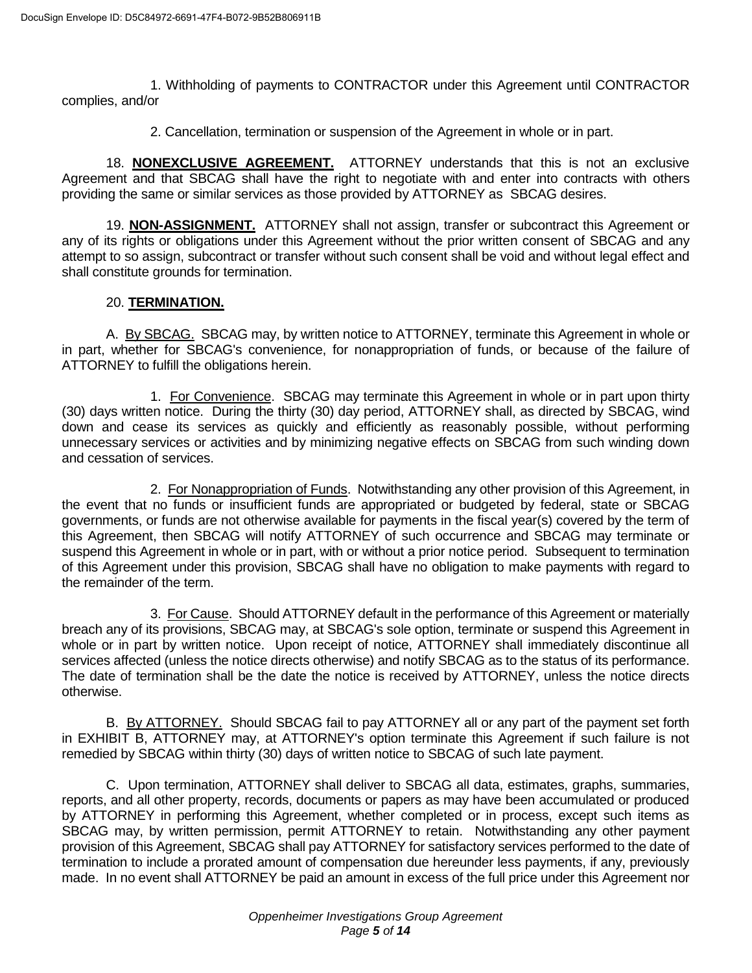1. Withholding of payments to CONTRACTOR under this Agreement until CONTRACTOR complies, and/or

2. Cancellation, termination or suspension of the Agreement in whole or in part.

18. **NONEXCLUSIVE AGREEMENT.** ATTORNEY understands that this is not an exclusive Agreement and that SBCAG shall have the right to negotiate with and enter into contracts with others providing the same or similar services as those provided by ATTORNEY as SBCAG desires.

19. **NON-ASSIGNMENT.** ATTORNEY shall not assign, transfer or subcontract this Agreement or any of its rights or obligations under this Agreement without the prior written consent of SBCAG and any attempt to so assign, subcontract or transfer without such consent shall be void and without legal effect and shall constitute grounds for termination.

## 20. **TERMINATION.**

A. By SBCAG. SBCAG may, by written notice to ATTORNEY, terminate this Agreement in whole or in part, whether for SBCAG's convenience, for nonappropriation of funds, or because of the failure of ATTORNEY to fulfill the obligations herein.

1. For Convenience. SBCAG may terminate this Agreement in whole or in part upon thirty (30) days written notice. During the thirty (30) day period, ATTORNEY shall, as directed by SBCAG, wind down and cease its services as quickly and efficiently as reasonably possible, without performing unnecessary services or activities and by minimizing negative effects on SBCAG from such winding down and cessation of services.

2. For Nonappropriation of Funds. Notwithstanding any other provision of this Agreement, in the event that no funds or insufficient funds are appropriated or budgeted by federal, state or SBCAG governments, or funds are not otherwise available for payments in the fiscal year(s) covered by the term of this Agreement, then SBCAG will notify ATTORNEY of such occurrence and SBCAG may terminate or suspend this Agreement in whole or in part, with or without a prior notice period. Subsequent to termination of this Agreement under this provision, SBCAG shall have no obligation to make payments with regard to the remainder of the term.

3. For Cause. Should ATTORNEY default in the performance of this Agreement or materially breach any of its provisions, SBCAG may, at SBCAG's sole option, terminate or suspend this Agreement in whole or in part by written notice. Upon receipt of notice, ATTORNEY shall immediately discontinue all services affected (unless the notice directs otherwise) and notify SBCAG as to the status of its performance. The date of termination shall be the date the notice is received by ATTORNEY, unless the notice directs otherwise.

B. By ATTORNEY. Should SBCAG fail to pay ATTORNEY all or any part of the payment set forth in EXHIBIT B, ATTORNEY may, at ATTORNEY's option terminate this Agreement if such failure is not remedied by SBCAG within thirty (30) days of written notice to SBCAG of such late payment.

C. Upon termination, ATTORNEY shall deliver to SBCAG all data, estimates, graphs, summaries, reports, and all other property, records, documents or papers as may have been accumulated or produced by ATTORNEY in performing this Agreement, whether completed or in process, except such items as SBCAG may, by written permission, permit ATTORNEY to retain. Notwithstanding any other payment provision of this Agreement, SBCAG shall pay ATTORNEY for satisfactory services performed to the date of termination to include a prorated amount of compensation due hereunder less payments, if any, previously made. In no event shall ATTORNEY be paid an amount in excess of the full price under this Agreement nor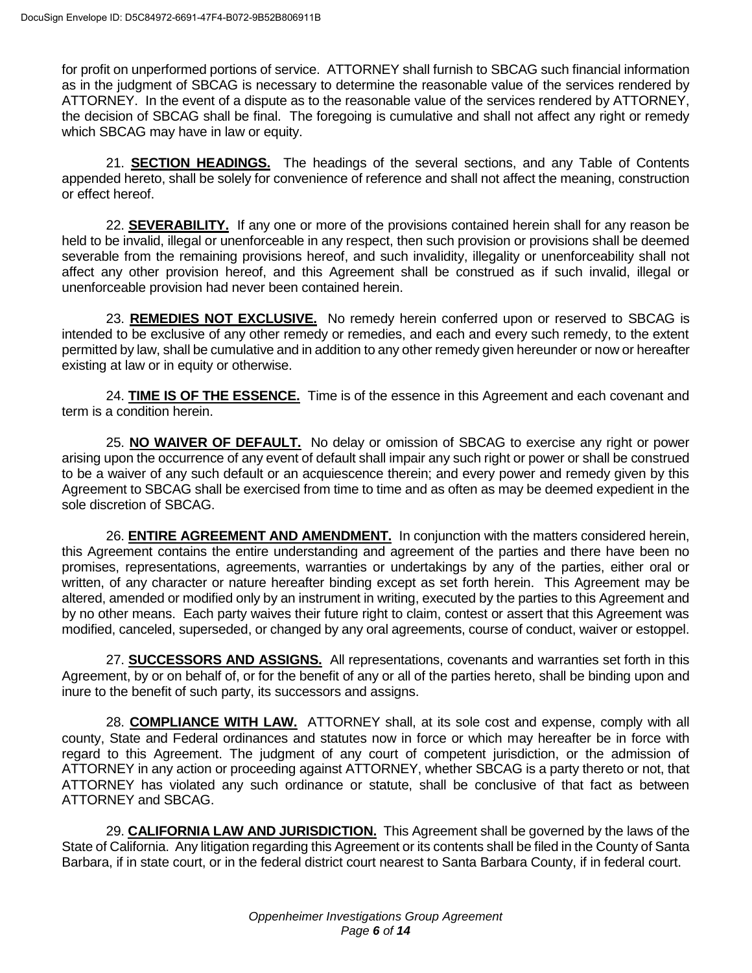for profit on unperformed portions of service. ATTORNEY shall furnish to SBCAG such financial information as in the judgment of SBCAG is necessary to determine the reasonable value of the services rendered by ATTORNEY. In the event of a dispute as to the reasonable value of the services rendered by ATTORNEY, the decision of SBCAG shall be final. The foregoing is cumulative and shall not affect any right or remedy which SBCAG may have in law or equity.

21. **SECTION HEADINGS.** The headings of the several sections, and any Table of Contents appended hereto, shall be solely for convenience of reference and shall not affect the meaning, construction or effect hereof.

22. **SEVERABILITY.** If any one or more of the provisions contained herein shall for any reason be held to be invalid, illegal or unenforceable in any respect, then such provision or provisions shall be deemed severable from the remaining provisions hereof, and such invalidity, illegality or unenforceability shall not affect any other provision hereof, and this Agreement shall be construed as if such invalid, illegal or unenforceable provision had never been contained herein.

23. **REMEDIES NOT EXCLUSIVE.** No remedy herein conferred upon or reserved to SBCAG is intended to be exclusive of any other remedy or remedies, and each and every such remedy, to the extent permitted by law, shall be cumulative and in addition to any other remedy given hereunder or now or hereafter existing at law or in equity or otherwise.

24. **TIME IS OF THE ESSENCE.** Time is of the essence in this Agreement and each covenant and term is a condition herein.

25. **NO WAIVER OF DEFAULT.** No delay or omission of SBCAG to exercise any right or power arising upon the occurrence of any event of default shall impair any such right or power or shall be construed to be a waiver of any such default or an acquiescence therein; and every power and remedy given by this Agreement to SBCAG shall be exercised from time to time and as often as may be deemed expedient in the sole discretion of SBCAG.

26. **ENTIRE AGREEMENT AND AMENDMENT.** In conjunction with the matters considered herein, this Agreement contains the entire understanding and agreement of the parties and there have been no promises, representations, agreements, warranties or undertakings by any of the parties, either oral or written, of any character or nature hereafter binding except as set forth herein. This Agreement may be altered, amended or modified only by an instrument in writing, executed by the parties to this Agreement and by no other means. Each party waives their future right to claim, contest or assert that this Agreement was modified, canceled, superseded, or changed by any oral agreements, course of conduct, waiver or estoppel.

27. **SUCCESSORS AND ASSIGNS.** All representations, covenants and warranties set forth in this Agreement, by or on behalf of, or for the benefit of any or all of the parties hereto, shall be binding upon and inure to the benefit of such party, its successors and assigns.

28. **COMPLIANCE WITH LAW.** ATTORNEY shall, at its sole cost and expense, comply with all county, State and Federal ordinances and statutes now in force or which may hereafter be in force with regard to this Agreement. The judgment of any court of competent jurisdiction, or the admission of ATTORNEY in any action or proceeding against ATTORNEY, whether SBCAG is a party thereto or not, that ATTORNEY has violated any such ordinance or statute, shall be conclusive of that fact as between ATTORNEY and SBCAG.

29. **CALIFORNIA LAW AND JURISDICTION.** This Agreement shall be governed by the laws of the State of California. Any litigation regarding this Agreement or its contents shall be filed in the County of Santa Barbara, if in state court, or in the federal district court nearest to Santa Barbara County, if in federal court.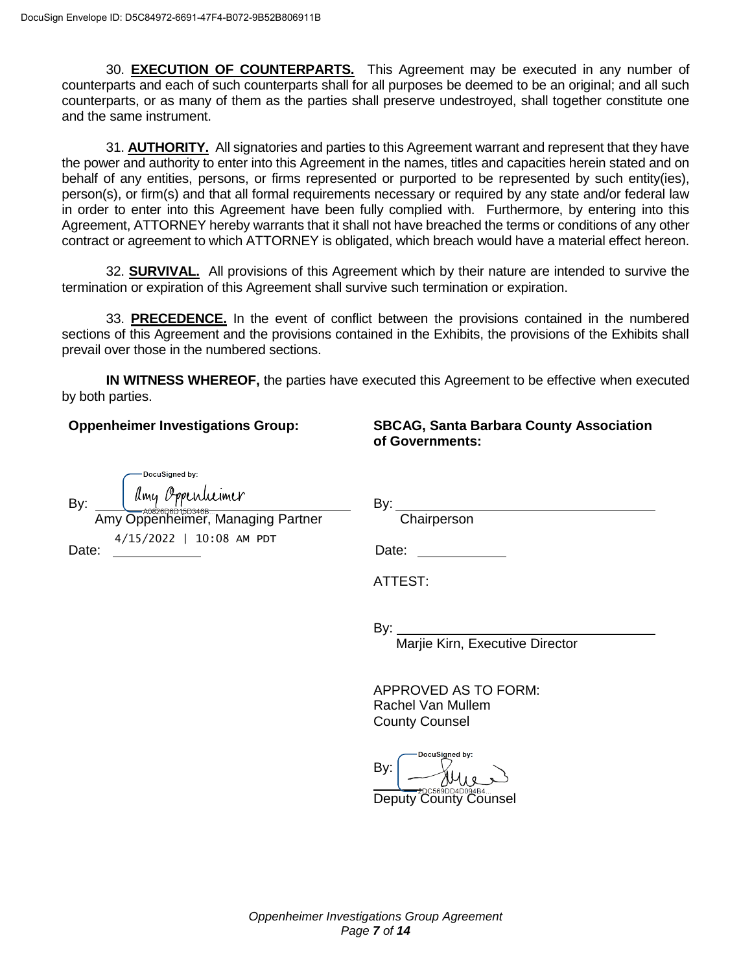30. **EXECUTION OF COUNTERPARTS.** This Agreement may be executed in any number of counterparts and each of such counterparts shall for all purposes be deemed to be an original; and all such counterparts, or as many of them as the parties shall preserve undestroyed, shall together constitute one and the same instrument.

31. **AUTHORITY.** All signatories and parties to this Agreement warrant and represent that they have the power and authority to enter into this Agreement in the names, titles and capacities herein stated and on behalf of any entities, persons, or firms represented or purported to be represented by such entity(ies), person(s), or firm(s) and that all formal requirements necessary or required by any state and/or federal law in order to enter into this Agreement have been fully complied with. Furthermore, by entering into this Agreement, ATTORNEY hereby warrants that it shall not have breached the terms or conditions of any other contract or agreement to which ATTORNEY is obligated, which breach would have a material effect hereon.

32. **SURVIVAL.** All provisions of this Agreement which by their nature are intended to survive the termination or expiration of this Agreement shall survive such termination or expiration.

33. **PRECEDENCE.** In the event of conflict between the provisions contained in the numbered sections of this Agreement and the provisions contained in the Exhibits, the provisions of the Exhibits shall prevail over those in the numbered sections.

**IN WITNESS WHEREOF,** the parties have executed this Agreement to be effective when executed by both parties.

**Oppenheimer Investigations Group:**

**SBCAG, Santa Barbara County Association of Governments:**

| DocuSigned by:                                            |                                                                    |
|-----------------------------------------------------------|--------------------------------------------------------------------|
| Amy O<br>umer<br>By:<br>Amy Oppenheimer, Managing Partner | By:<br>Chairperson                                                 |
| 4/15/2022   10:08 AM PDT<br>Date:                         | Date:                                                              |
|                                                           | ATTEST:                                                            |
|                                                           | By:<br>Marjie Kirn, Executive Director                             |
|                                                           | APPROVED AS TO FORM:<br>Rachel Van Mullem<br><b>County Counsel</b> |
|                                                           | DocuSigned by:<br>By:<br>Deputy County<br>ounsel                   |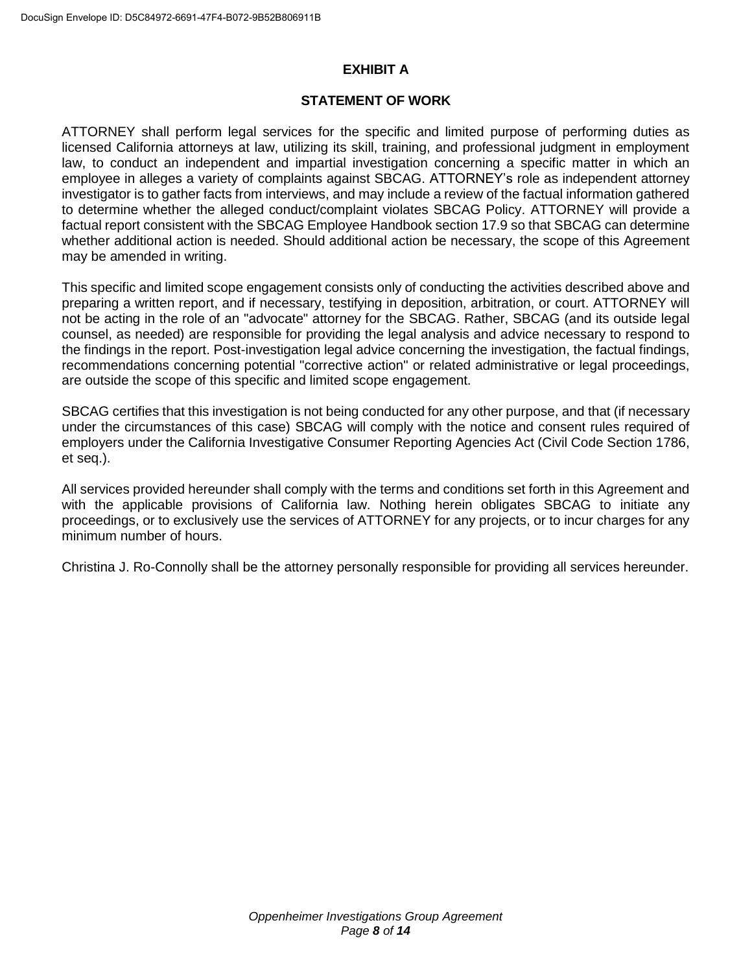# **EXHIBIT A**

## **STATEMENT OF WORK**

ATTORNEY shall perform legal services for the specific and limited purpose of performing duties as licensed California attorneys at law, utilizing its skill, training, and professional judgment in employment law, to conduct an independent and impartial investigation concerning a specific matter in which an employee in alleges a variety of complaints against SBCAG. ATTORNEY's role as independent attorney investigator is to gather facts from interviews, and may include a review of the factual information gathered to determine whether the alleged conduct/complaint violates SBCAG Policy. ATTORNEY will provide a factual report consistent with the SBCAG Employee Handbook section 17.9 so that SBCAG can determine whether additional action is needed. Should additional action be necessary, the scope of this Agreement may be amended in writing.

This specific and limited scope engagement consists only of conducting the activities described above and preparing a written report, and if necessary, testifying in deposition, arbitration, or court. ATTORNEY will not be acting in the role of an "advocate" attorney for the SBCAG. Rather, SBCAG (and its outside legal counsel, as needed) are responsible for providing the legal analysis and advice necessary to respond to the findings in the report. Post-investigation legal advice concerning the investigation, the factual findings, recommendations concerning potential "corrective action" or related administrative or legal proceedings, are outside the scope of this specific and limited scope engagement.

SBCAG certifies that this investigation is not being conducted for any other purpose, and that (if necessary under the circumstances of this case) SBCAG will comply with the notice and consent rules required of employers under the California Investigative Consumer Reporting Agencies Act (Civil Code Section 1786, et seq.).

All services provided hereunder shall comply with the terms and conditions set forth in this Agreement and with the applicable provisions of California law. Nothing herein obligates SBCAG to initiate any proceedings, or to exclusively use the services of ATTORNEY for any projects, or to incur charges for any minimum number of hours.

[Christina J. Ro-Connolly](https://www.oiglaw.com/attorney/christina-j-ro-connolly/) shall be the attorney personally responsible for providing all services hereunder.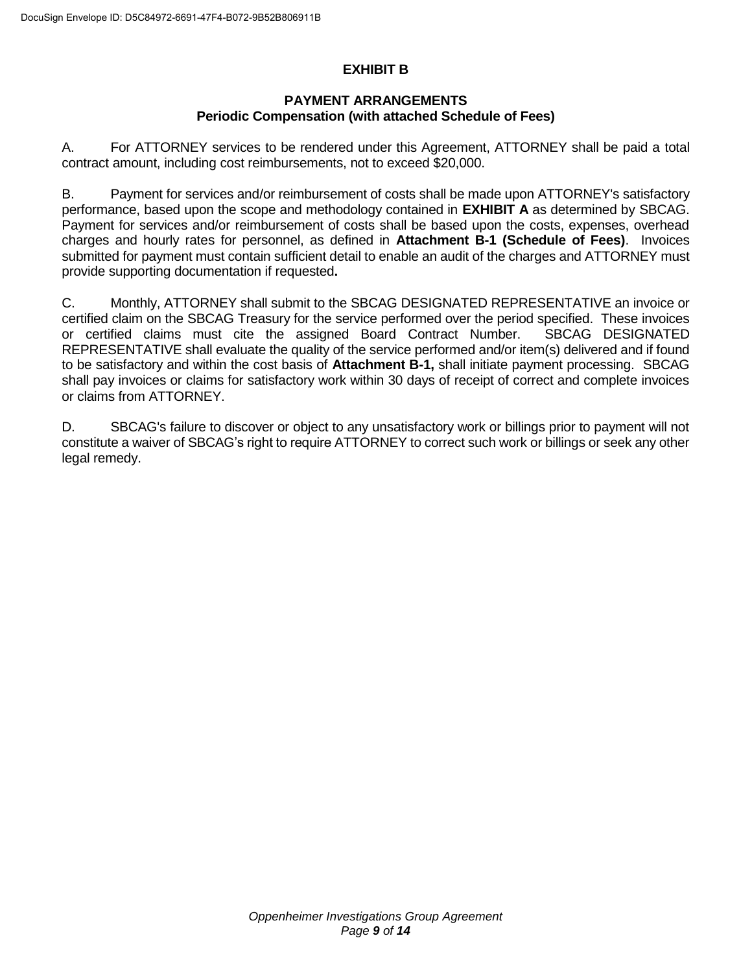# **EXHIBIT B**

### **PAYMENT ARRANGEMENTS Periodic Compensation (with attached Schedule of Fees)**

A. For ATTORNEY services to be rendered under this Agreement, ATTORNEY shall be paid a total contract amount, including cost reimbursements, not to exceed \$20,000.

B. Payment for services and/or reimbursement of costs shall be made upon ATTORNEY's satisfactory performance, based upon the scope and methodology contained in **EXHIBIT A** as determined by SBCAG. Payment for services and/or reimbursement of costs shall be based upon the costs, expenses, overhead charges and hourly rates for personnel, as defined in **Attachment B-1 (Schedule of Fees)**. Invoices submitted for payment must contain sufficient detail to enable an audit of the charges and ATTORNEY must provide supporting documentation if requested**.**

C. Monthly, ATTORNEY shall submit to the SBCAG DESIGNATED REPRESENTATIVE an invoice or certified claim on the SBCAG Treasury for the service performed over the period specified. These invoices or certified claims must cite the assigned Board Contract Number. SBCAG DESIGNATED REPRESENTATIVE shall evaluate the quality of the service performed and/or item(s) delivered and if found to be satisfactory and within the cost basis of **Attachment B-1,** shall initiate payment processing. SBCAG shall pay invoices or claims for satisfactory work within 30 days of receipt of correct and complete invoices or claims from ATTORNEY.

D. SBCAG's failure to discover or object to any unsatisfactory work or billings prior to payment will not constitute a waiver of SBCAG's right to require ATTORNEY to correct such work or billings or seek any other legal remedy.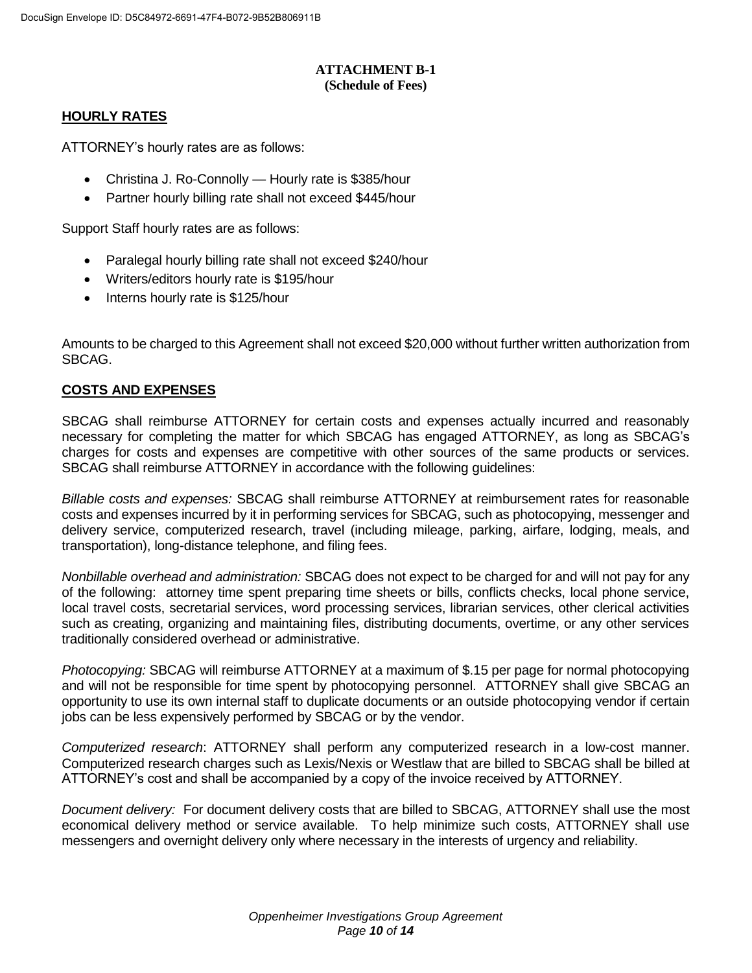#### **ATTACHMENT B-1 (Schedule of Fees)**

### **HOURLY RATES**

ATTORNEY's hourly rates are as follows:

- [Christina J. Ro-Connolly](https://www.oiglaw.com/attorney/christina-j-ro-connolly/) Hourly rate is \$385/hour
- Partner hourly billing rate shall not exceed \$445/hour

Support Staff hourly rates are as follows:

- Paralegal hourly billing rate shall not exceed \$240/hour
- Writers/editors hourly rate is \$195/hour
- Interns hourly rate is \$125/hour

Amounts to be charged to this Agreement shall not exceed \$20,000 without further written authorization from SBCAG.

## **COSTS AND EXPENSES**

SBCAG shall reimburse ATTORNEY for certain costs and expenses actually incurred and reasonably necessary for completing the matter for which SBCAG has engaged ATTORNEY, as long as SBCAG's charges for costs and expenses are competitive with other sources of the same products or services. SBCAG shall reimburse ATTORNEY in accordance with the following guidelines:

*Billable costs and expenses:* SBCAG shall reimburse ATTORNEY at reimbursement rates for reasonable costs and expenses incurred by it in performing services for SBCAG, such as photocopying, messenger and delivery service, computerized research, travel (including mileage, parking, airfare, lodging, meals, and transportation), long-distance telephone, and filing fees.

*Nonbillable overhead and administration:* SBCAG does not expect to be charged for and will not pay for any of the following: attorney time spent preparing time sheets or bills, conflicts checks, local phone service, local travel costs, secretarial services, word processing services, librarian services, other clerical activities such as creating, organizing and maintaining files, distributing documents, overtime, or any other services traditionally considered overhead or administrative.

*Photocopying:* SBCAG will reimburse ATTORNEY at a maximum of \$.15 per page for normal photocopying and will not be responsible for time spent by photocopying personnel. ATTORNEY shall give SBCAG an opportunity to use its own internal staff to duplicate documents or an outside photocopying vendor if certain jobs can be less expensively performed by SBCAG or by the vendor.

*Computerized research*: ATTORNEY shall perform any computerized research in a low-cost manner. Computerized research charges such as Lexis/Nexis or Westlaw that are billed to SBCAG shall be billed at ATTORNEY's cost and shall be accompanied by a copy of the invoice received by ATTORNEY.

*Document delivery:* For document delivery costs that are billed to SBCAG, ATTORNEY shall use the most economical delivery method or service available. To help minimize such costs, ATTORNEY shall use messengers and overnight delivery only where necessary in the interests of urgency and reliability.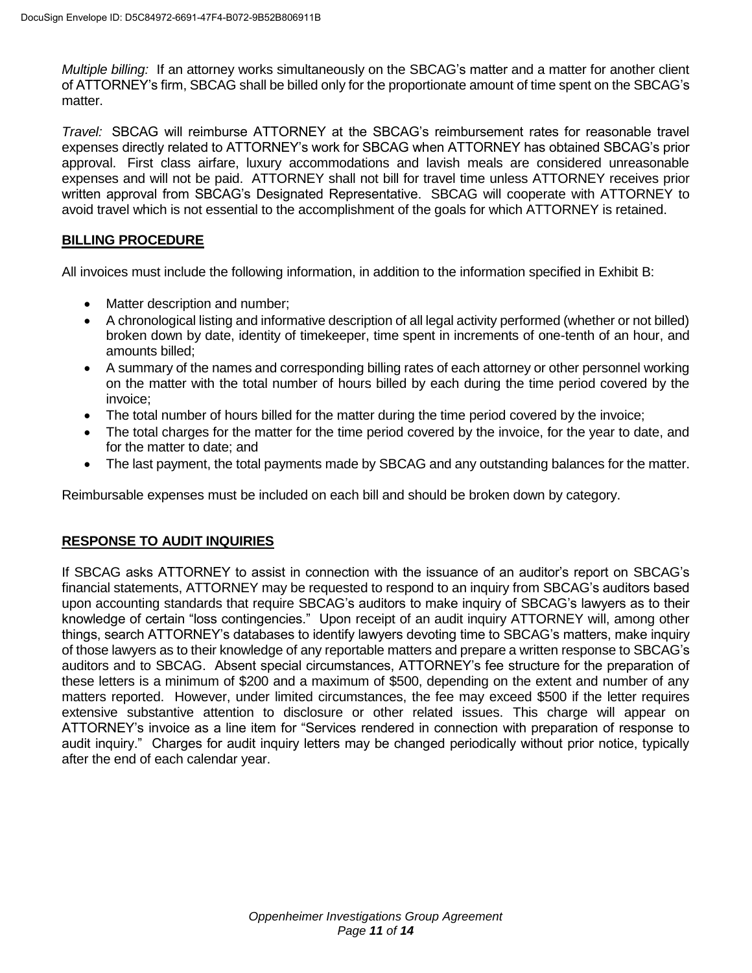*Multiple billing:* If an attorney works simultaneously on the SBCAG's matter and a matter for another client of ATTORNEY's firm, SBCAG shall be billed only for the proportionate amount of time spent on the SBCAG's matter.

*Travel:* SBCAG will reimburse ATTORNEY at the SBCAG's reimbursement rates for reasonable travel expenses directly related to ATTORNEY's work for SBCAG when ATTORNEY has obtained SBCAG's prior approval. First class airfare, luxury accommodations and lavish meals are considered unreasonable expenses and will not be paid. ATTORNEY shall not bill for travel time unless ATTORNEY receives prior written approval from SBCAG's Designated Representative. SBCAG will cooperate with ATTORNEY to avoid travel which is not essential to the accomplishment of the goals for which ATTORNEY is retained.

#### **BILLING PROCEDURE**

All invoices must include the following information, in addition to the information specified in Exhibit B:

- Matter description and number;
- A chronological listing and informative description of all legal activity performed (whether or not billed) broken down by date, identity of timekeeper, time spent in increments of one-tenth of an hour, and amounts billed;
- A summary of the names and corresponding billing rates of each attorney or other personnel working on the matter with the total number of hours billed by each during the time period covered by the invoice;
- The total number of hours billed for the matter during the time period covered by the invoice;
- The total charges for the matter for the time period covered by the invoice, for the year to date, and for the matter to date; and
- The last payment, the total payments made by SBCAG and any outstanding balances for the matter.

Reimbursable expenses must be included on each bill and should be broken down by category.

## **RESPONSE TO AUDIT INQUIRIES**

If SBCAG asks ATTORNEY to assist in connection with the issuance of an auditor's report on SBCAG's financial statements, ATTORNEY may be requested to respond to an inquiry from SBCAG's auditors based upon accounting standards that require SBCAG's auditors to make inquiry of SBCAG's lawyers as to their knowledge of certain "loss contingencies." Upon receipt of an audit inquiry ATTORNEY will, among other things, search ATTORNEY's databases to identify lawyers devoting time to SBCAG's matters, make inquiry of those lawyers as to their knowledge of any reportable matters and prepare a written response to SBCAG's auditors and to SBCAG. Absent special circumstances, ATTORNEY's fee structure for the preparation of these letters is a minimum of \$200 and a maximum of \$500, depending on the extent and number of any matters reported. However, under limited circumstances, the fee may exceed \$500 if the letter requires extensive substantive attention to disclosure or other related issues. This charge will appear on ATTORNEY's invoice as a line item for "Services rendered in connection with preparation of response to audit inquiry." Charges for audit inquiry letters may be changed periodically without prior notice, typically after the end of each calendar year.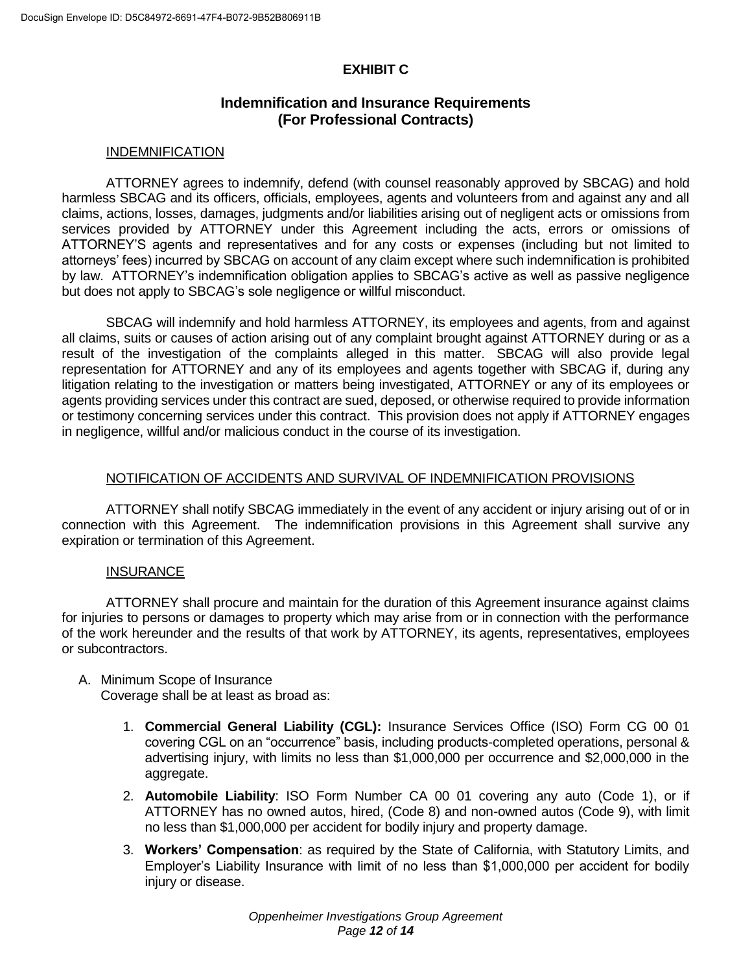## **EXHIBIT C**

# **Indemnification and Insurance Requirements (For Professional Contracts)**

#### INDEMNIFICATION

ATTORNEY agrees to indemnify, defend (with counsel reasonably approved by SBCAG) and hold harmless SBCAG and its officers, officials, employees, agents and volunteers from and against any and all claims, actions, losses, damages, judgments and/or liabilities arising out of negligent acts or omissions from services provided by ATTORNEY under this Agreement including the acts, errors or omissions of ATTORNEY'S agents and representatives and for any costs or expenses (including but not limited to attorneys' fees) incurred by SBCAG on account of any claim except where such indemnification is prohibited by law. ATTORNEY's indemnification obligation applies to SBCAG's active as well as passive negligence but does not apply to SBCAG's sole negligence or willful misconduct.

SBCAG will indemnify and hold harmless ATTORNEY, its employees and agents, from and against all claims, suits or causes of action arising out of any complaint brought against ATTORNEY during or as a result of the investigation of the complaints alleged in this matter. SBCAG will also provide legal representation for ATTORNEY and any of its employees and agents together with SBCAG if, during any litigation relating to the investigation or matters being investigated, ATTORNEY or any of its employees or agents providing services under this contract are sued, deposed, or otherwise required to provide information or testimony concerning services under this contract. This provision does not apply if ATTORNEY engages in negligence, willful and/or malicious conduct in the course of its investigation.

#### NOTIFICATION OF ACCIDENTS AND SURVIVAL OF INDEMNIFICATION PROVISIONS

ATTORNEY shall notify SBCAG immediately in the event of any accident or injury arising out of or in connection with this Agreement. The indemnification provisions in this Agreement shall survive any expiration or termination of this Agreement.

#### **INSURANCE**

ATTORNEY shall procure and maintain for the duration of this Agreement insurance against claims for injuries to persons or damages to property which may arise from or in connection with the performance of the work hereunder and the results of that work by ATTORNEY, its agents, representatives, employees or subcontractors.

#### A. Minimum Scope of Insurance

Coverage shall be at least as broad as:

- 1. **Commercial General Liability (CGL):** Insurance Services Office (ISO) Form CG 00 01 covering CGL on an "occurrence" basis, including products-completed operations, personal & advertising injury, with limits no less than \$1,000,000 per occurrence and \$2,000,000 in the aggregate.
- 2. **Automobile Liability**: ISO Form Number CA 00 01 covering any auto (Code 1), or if ATTORNEY has no owned autos, hired, (Code 8) and non-owned autos (Code 9), with limit no less than \$1,000,000 per accident for bodily injury and property damage.
- 3. **Workers' Compensation**: as required by the State of California, with Statutory Limits, and Employer's Liability Insurance with limit of no less than \$1,000,000 per accident for bodily injury or disease.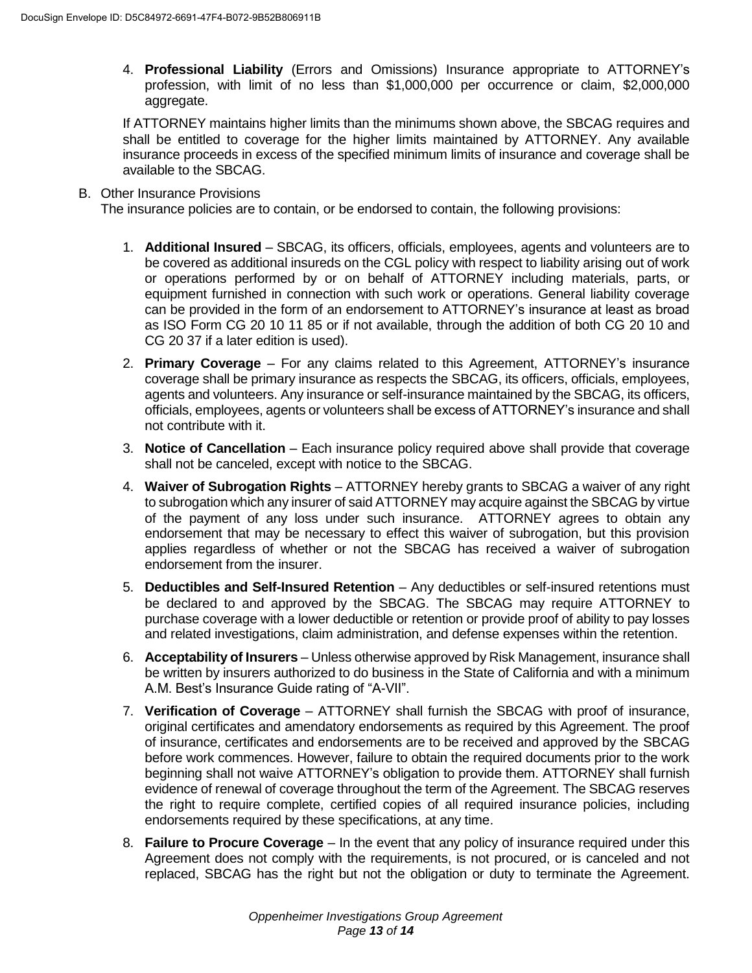4. **Professional Liability** (Errors and Omissions) Insurance appropriate to ATTORNEY's profession, with limit of no less than \$1,000,000 per occurrence or claim, \$2,000,000 aggregate.

If ATTORNEY maintains higher limits than the minimums shown above, the SBCAG requires and shall be entitled to coverage for the higher limits maintained by ATTORNEY. Any available insurance proceeds in excess of the specified minimum limits of insurance and coverage shall be available to the SBCAG.

#### B. Other Insurance Provisions

The insurance policies are to contain, or be endorsed to contain, the following provisions:

- 1. **Additional Insured** SBCAG, its officers, officials, employees, agents and volunteers are to be covered as additional insureds on the CGL policy with respect to liability arising out of work or operations performed by or on behalf of ATTORNEY including materials, parts, or equipment furnished in connection with such work or operations. General liability coverage can be provided in the form of an endorsement to ATTORNEY's insurance at least as broad as ISO Form CG 20 10 11 85 or if not available, through the addition of both CG 20 10 and CG 20 37 if a later edition is used).
- 2. **Primary Coverage** For any claims related to this Agreement, ATTORNEY's insurance coverage shall be primary insurance as respects the SBCAG, its officers, officials, employees, agents and volunteers. Any insurance or self-insurance maintained by the SBCAG, its officers, officials, employees, agents or volunteers shall be excess of ATTORNEY's insurance and shall not contribute with it.
- 3. **Notice of Cancellation** Each insurance policy required above shall provide that coverage shall not be canceled, except with notice to the SBCAG.
- 4. **Waiver of Subrogation Rights** ATTORNEY hereby grants to SBCAG a waiver of any right to subrogation which any insurer of said ATTORNEY may acquire against the SBCAG by virtue of the payment of any loss under such insurance. ATTORNEY agrees to obtain any endorsement that may be necessary to effect this waiver of subrogation, but this provision applies regardless of whether or not the SBCAG has received a waiver of subrogation endorsement from the insurer.
- 5. **Deductibles and Self-Insured Retention** Any deductibles or self-insured retentions must be declared to and approved by the SBCAG. The SBCAG may require ATTORNEY to purchase coverage with a lower deductible or retention or provide proof of ability to pay losses and related investigations, claim administration, and defense expenses within the retention.
- 6. **Acceptability of Insurers** Unless otherwise approved by Risk Management, insurance shall be written by insurers authorized to do business in the State of California and with a minimum A.M. Best's Insurance Guide rating of "A-VII".
- 7. **Verification of Coverage** ATTORNEY shall furnish the SBCAG with proof of insurance, original certificates and amendatory endorsements as required by this Agreement. The proof of insurance, certificates and endorsements are to be received and approved by the SBCAG before work commences. However, failure to obtain the required documents prior to the work beginning shall not waive ATTORNEY's obligation to provide them. ATTORNEY shall furnish evidence of renewal of coverage throughout the term of the Agreement. The SBCAG reserves the right to require complete, certified copies of all required insurance policies, including endorsements required by these specifications, at any time.
- 8. **Failure to Procure Coverage** In the event that any policy of insurance required under this Agreement does not comply with the requirements, is not procured, or is canceled and not replaced, SBCAG has the right but not the obligation or duty to terminate the Agreement.